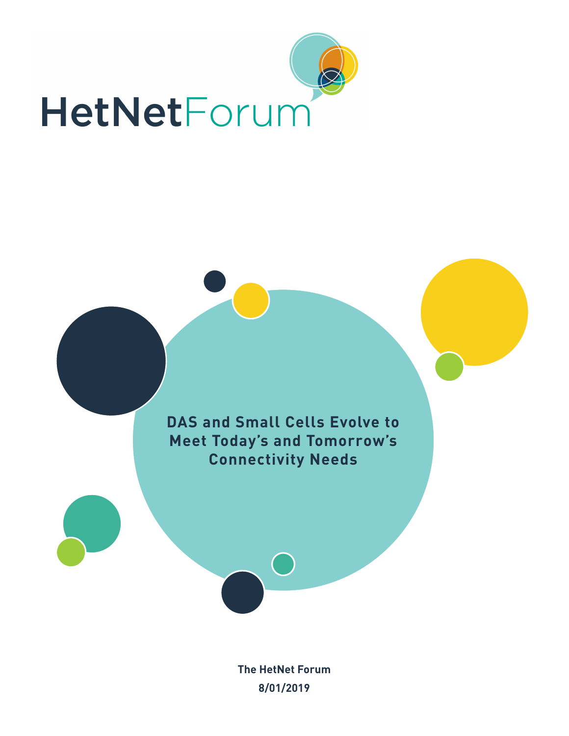



**The HetNet Forum 8/01/2019**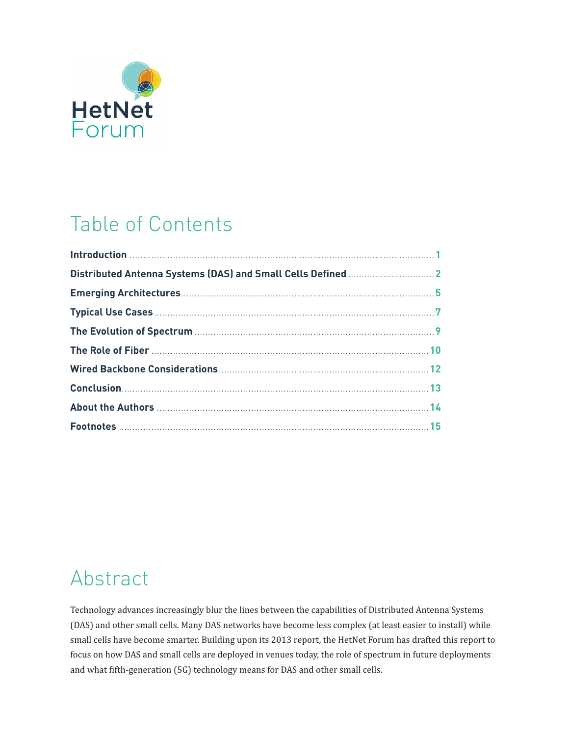

#### Table of Contents

#### Abstract

Technology advances increasingly blur the lines between the capabilities of Distributed Antenna Systems (DAS) and other small cells. Many DAS networks have become less complex (at least easier to install) while small cells have become smarter. Building upon its 2013 report, the HetNet Forum has drafted this report to focus on how DAS and small cells are deployed in venues today, the role of spectrum in future deployments and what fifth-generation (5G) technology means for DAS and other small cells.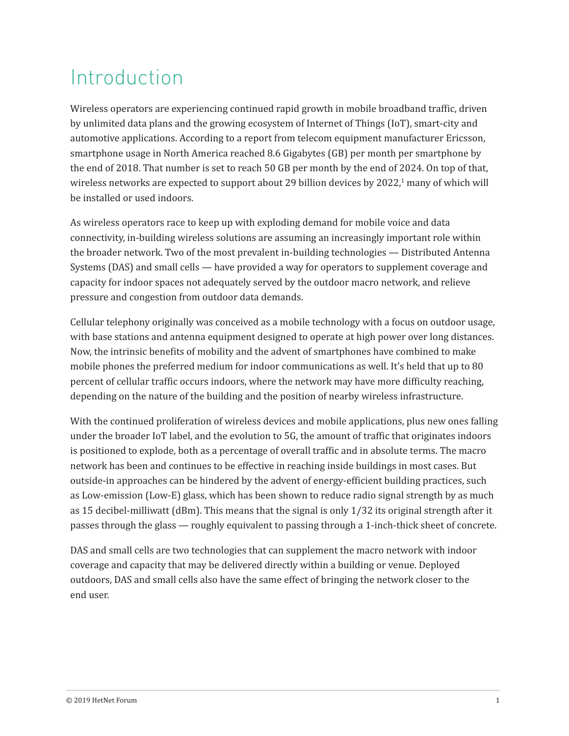#### Introduction

Wireless operators are experiencing continued rapid growth in mobile broadband traffic, driven by unlimited data plans and the growing ecosystem of Internet of Things (IoT), smart-city and automotive applications. According to a report from telecom equipment manufacturer Ericsson, smartphone usage in North America reached 8.6 Gigabytes (GB) per month per smartphone by the end of 2018. That number is set to reach 50 GB per month by the end of 2024. On top of that, wireless networks are expected to support about 29 billion devices by 2022,<sup>1</sup> many of which will be installed or used indoors.

As wireless operators race to keep up with exploding demand for mobile voice and data connectivity, in-building wireless solutions are assuming an increasingly important role within the broader network. Two of the most prevalent in-building technologies — Distributed Antenna Systems (DAS) and small cells — have provided a way for operators to supplement coverage and capacity for indoor spaces not adequately served by the outdoor macro network, and relieve pressure and congestion from outdoor data demands.

Cellular telephony originally was conceived as a mobile technology with a focus on outdoor usage, with base stations and antenna equipment designed to operate at high power over long distances. Now, the intrinsic benefits of mobility and the advent of smartphones have combined to make mobile phones the preferred medium for indoor communications as well. It's held that up to 80 percent of cellular traffic occurs indoors, where the network may have more difficulty reaching, depending on the nature of the building and the position of nearby wireless infrastructure.

With the continued proliferation of wireless devices and mobile applications, plus new ones falling under the broader IoT label, and the evolution to 5G, the amount of traffic that originates indoors is positioned to explode, both as a percentage of overall traffic and in absolute terms. The macro network has been and continues to be effective in reaching inside buildings in most cases. But outside-in approaches can be hindered by the advent of energy-efficient building practices, such as Low-emission (Low-E) glass, which has been shown to reduce radio signal strength by as much as 15 decibel-milliwatt (dBm). This means that the signal is only 1/32 its original strength after it passes through the glass — roughly equivalent to passing through a 1-inch-thick sheet of concrete.

DAS and small cells are two technologies that can supplement the macro network with indoor coverage and capacity that may be delivered directly within a building or venue. Deployed outdoors, DAS and small cells also have the same effect of bringing the network closer to the end user.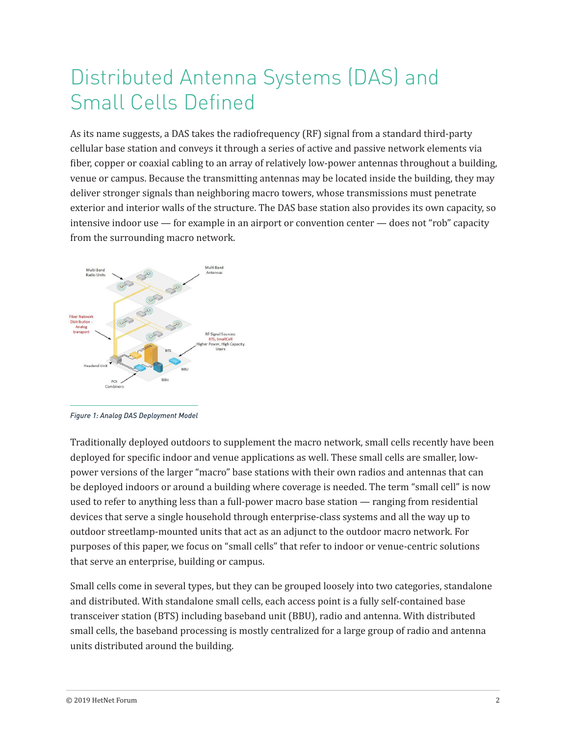#### Distributed Antenna Systems (DAS) and Small Cells Defined

As its name suggests, a DAS takes the radiofrequency (RF) signal from a standard third-party cellular base station and conveys it through a series of active and passive network elements via fiber, copper or coaxial cabling to an array of relatively low-power antennas throughout a building, venue or campus. Because the transmitting antennas may be located inside the building, they may deliver stronger signals than neighboring macro towers, whose transmissions must penetrate exterior and interior walls of the structure. The DAS base station also provides its own capacity, so intensive indoor use — for example in an airport or convention center — does not "rob" capacity from the surrounding macro network.



*Figure 1: Analog DAS Deployment Model*

Traditionally deployed outdoors to supplement the macro network, small cells recently have been deployed for specific indoor and venue applications as well. These small cells are smaller, lowpower versions of the larger "macro" base stations with their own radios and antennas that can be deployed indoors or around a building where coverage is needed. The term "small cell" is now used to refer to anything less than a full-power macro base station — ranging from residential devices that serve a single household through enterprise-class systems and all the way up to outdoor streetlamp-mounted units that act as an adjunct to the outdoor macro network. For purposes of this paper, we focus on "small cells" that refer to indoor or venue-centric solutions that serve an enterprise, building or campus.

Small cells come in several types, but they can be grouped loosely into two categories, standalone and distributed. With standalone small cells, each access point is a fully self-contained base transceiver station (BTS) including baseband unit (BBU), radio and antenna. With distributed small cells, the baseband processing is mostly centralized for a large group of radio and antenna units distributed around the building.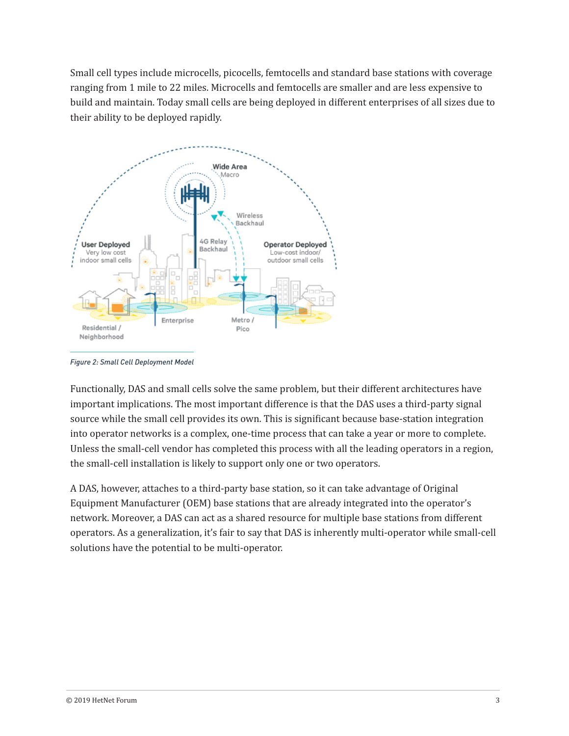Small cell types include microcells, picocells, femtocells and standard base stations with coverage ranging from 1 mile to 22 miles. Microcells and femtocells are smaller and are less expensive to build and maintain. Today small cells are being deployed in different enterprises of all sizes due to their ability to be deployed rapidly.



*Figure 2: Small Cell Deployment Model*

Functionally, DAS and small cells solve the same problem, but their different architectures have important implications. The most important difference is that the DAS uses a third-party signal source while the small cell provides its own. This is significant because base-station integration into operator networks is a complex, one-time process that can take a year or more to complete. Unless the small-cell vendor has completed this process with all the leading operators in a region, the small-cell installation is likely to support only one or two operators.

A DAS, however, attaches to a third-party base station, so it can take advantage of Original Equipment Manufacturer (OEM) base stations that are already integrated into the operator's network. Moreover, a DAS can act as a shared resource for multiple base stations from different operators. As a generalization, it's fair to say that DAS is inherently multi-operator while small-cell solutions have the potential to be multi-operator.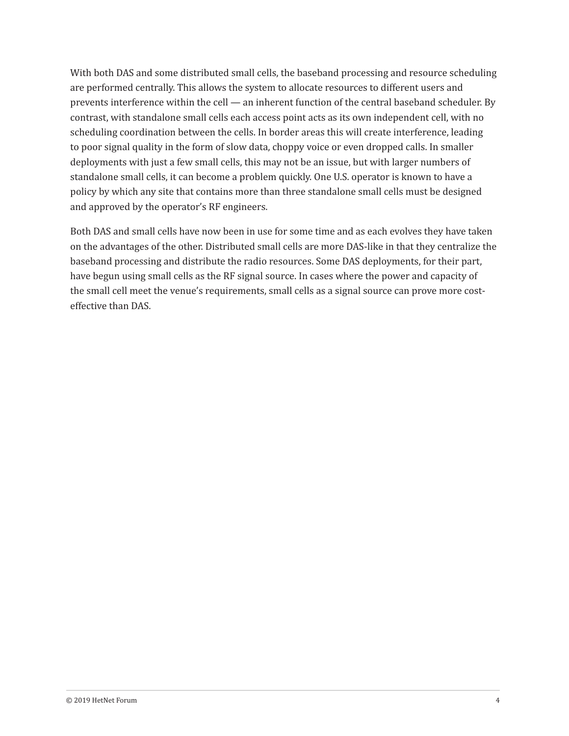With both DAS and some distributed small cells, the baseband processing and resource scheduling are performed centrally. This allows the system to allocate resources to different users and prevents interference within the cell — an inherent function of the central baseband scheduler. By contrast, with standalone small cells each access point acts as its own independent cell, with no scheduling coordination between the cells. In border areas this will create interference, leading to poor signal quality in the form of slow data, choppy voice or even dropped calls. In smaller deployments with just a few small cells, this may not be an issue, but with larger numbers of standalone small cells, it can become a problem quickly. One U.S. operator is known to have a policy by which any site that contains more than three standalone small cells must be designed and approved by the operator's RF engineers.

Both DAS and small cells have now been in use for some time and as each evolves they have taken on the advantages of the other. Distributed small cells are more DAS-like in that they centralize the baseband processing and distribute the radio resources. Some DAS deployments, for their part, have begun using small cells as the RF signal source. In cases where the power and capacity of the small cell meet the venue's requirements, small cells as a signal source can prove more costeffective than DAS.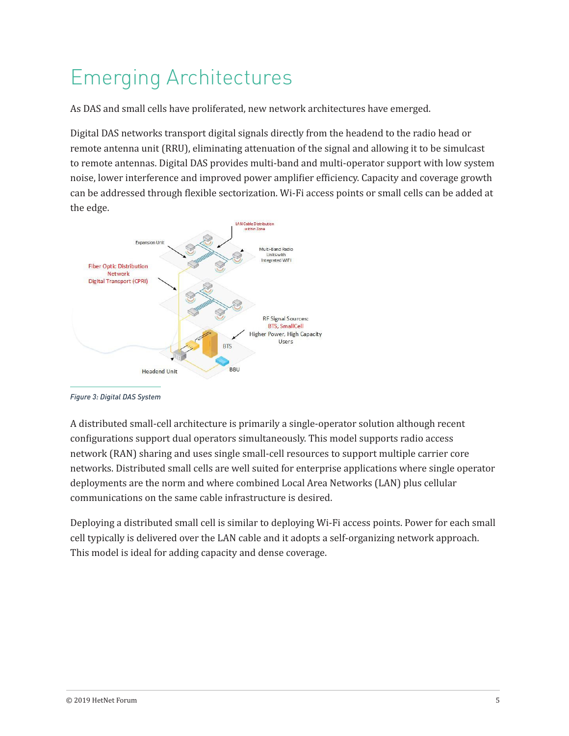# Emerging Architectures

As DAS and small cells have proliferated, new network architectures have emerged.

Digital DAS networks transport digital signals directly from the headend to the radio head or remote antenna unit (RRU), eliminating attenuation of the signal and allowing it to be simulcast to remote antennas. Digital DAS provides multi-band and multi-operator support with low system noise, lower interference and improved power amplifier efficiency. Capacity and coverage growth can be addressed through flexible sectorization. Wi-Fi access points or small cells can be added at the edge.



*Figure 3: Digital DAS System*

A distributed small-cell architecture is primarily a single-operator solution although recent configurations support dual operators simultaneously. This model supports radio access network (RAN) sharing and uses single small-cell resources to support multiple carrier core networks. Distributed small cells are well suited for enterprise applications where single operator deployments are the norm and where combined Local Area Networks (LAN) plus cellular communications on the same cable infrastructure is desired.

Deploying a distributed small cell is similar to deploying Wi-Fi access points. Power for each small cell typically is delivered over the LAN cable and it adopts a self-organizing network approach. This model is ideal for adding capacity and dense coverage.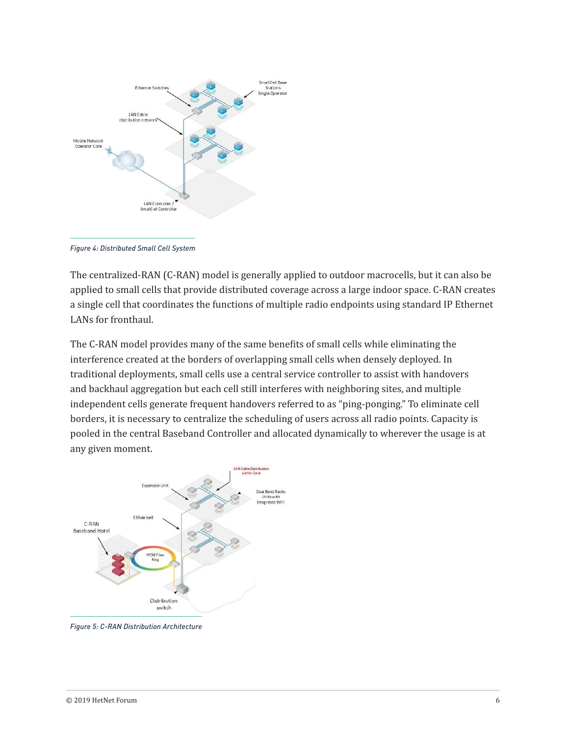

*Figure 4: Distributed Small Cell System*

The centralized-RAN (C-RAN) model is generally applied to outdoor macrocells, but it can also be applied to small cells that provide distributed coverage across a large indoor space. C-RAN creates a single cell that coordinates the functions of multiple radio endpoints using standard IP Ethernet LANs for fronthaul.

The C-RAN model provides many of the same benefits of small cells while eliminating the interference created at the borders of overlapping small cells when densely deployed. In traditional deployments, small cells use a central service controller to assist with handovers and backhaul aggregation but each cell still interferes with neighboring sites, and multiple independent cells generate frequent handovers referred to as "ping-ponging." To eliminate cell borders, it is necessary to centralize the scheduling of users across all radio points. Capacity is pooled in the central Baseband Controller and allocated dynamically to wherever the usage is at any given moment.



*Figure 5: C-RAN Distribution Architecture*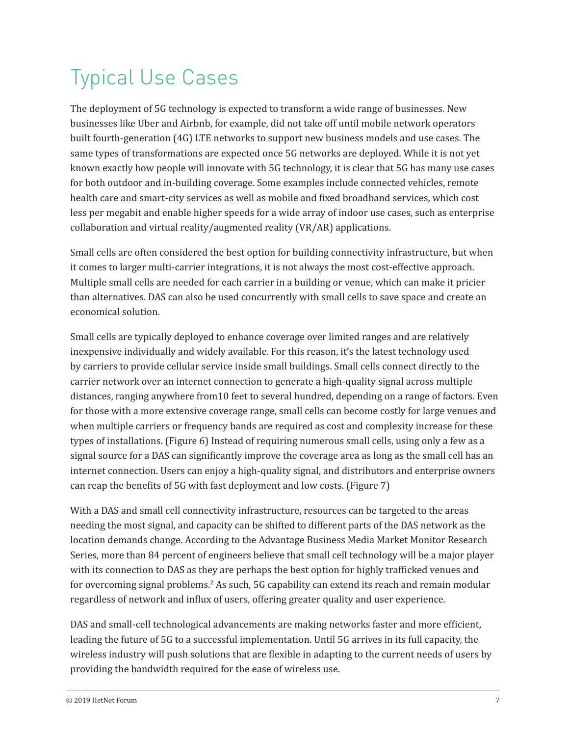# Typical Use Cases

The deployment of 5G technology is expected to transform a wide range of businesses. New businesses like Uber and Airbnb, for example, did not take off until mobile network operators built fourth-generation (4G) LTE networks to support new business models and use cases. The same types of transformations are expected once 5G networks are deployed. While it is not yet known exactly how people will innovate with 5G technology, it is clear that 5G has many use cases for both outdoor and in-building coverage. Some examples include connected vehicles, remote health care and smart-city services as well as mobile and fixed broadband services, which cost less per megabit and enable higher speeds for a wide array of indoor use cases, such as enterprise collaboration and virtual reality/augmented reality (VR/AR) applications.

Small cells are often considered the best option for building connectivity infrastructure, but when it comes to larger multi-carrier integrations, it is not always the most cost-effective approach. Multiple small cells are needed for each carrier in a building or venue, which can make it pricier than alternatives. DAS can also be used concurrently with small cells to save space and create an economical solution.

Small cells are typically deployed to enhance coverage over limited ranges and are relatively inexpensive individually and widely available. For this reason, it's the latest technology used by carriers to provide cellular service inside small buildings. Small cells connect directly to the carrier network over an internet connection to generate a high-quality signal across multiple distances, ranging anywhere from10 feet to several hundred, depending on a range of factors. Even for those with a more extensive coverage range, small cells can become costly for large venues and when multiple carriers or frequency bands are required as cost and complexity increase for these types of installations. (Figure 6) Instead of requiring numerous small cells, using only a few as a signal source for a DAS can significantly improve the coverage area as long as the small cell has an internet connection. Users can enjoy a high-quality signal, and distributors and enterprise owners can reap the benefits of 5G with fast deployment and low costs. (Figure 7)

With a DAS and small cell connectivity infrastructure, resources can be targeted to the areas needing the most signal, and capacity can be shifted to different parts of the DAS network as the location demands change. According to the Advantage Business Media Market Monitor Research Series, more than 84 percent of engineers believe that small cell technology will be a major player with its connection to DAS as they are perhaps the best option for highly trafficked venues and for overcoming signal problems.<sup>2</sup> As such, 5G capability can extend its reach and remain modular regardless of network and influx of users, offering greater quality and user experience.

DAS and small-cell technological advancements are making networks faster and more efficient, leading the future of 5G to a successful implementation. Until 5G arrives in its full capacity, the wireless industry will push solutions that are flexible in adapting to the current needs of users by providing the bandwidth required for the ease of wireless use.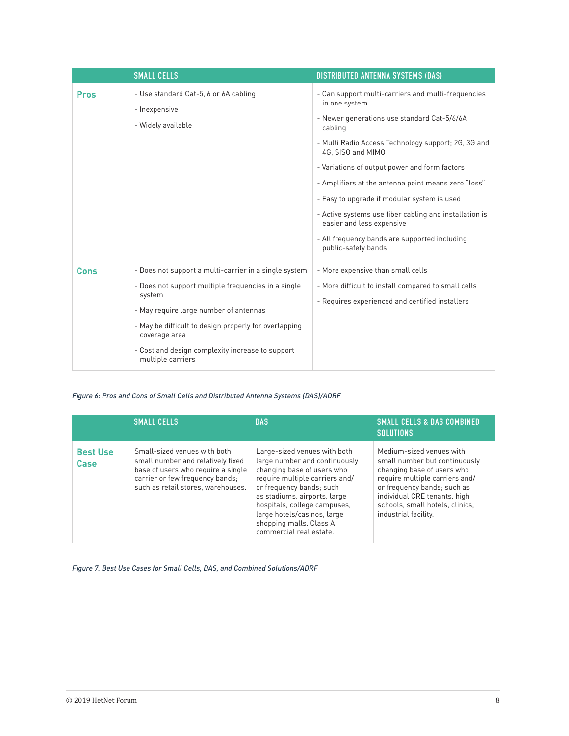|             | <b>SMALL CELLS</b>                                                           | <b>DISTRIBUTED ANTENNA SYSTEMS (DAS)</b>                                            |  |
|-------------|------------------------------------------------------------------------------|-------------------------------------------------------------------------------------|--|
| <b>Pros</b> | - Use standard Cat-5, 6 or 6A cabling<br>- Inexpensive<br>- Widely available | - Can support multi-carriers and multi-frequencies<br>in one system                 |  |
|             |                                                                              | - Newer generations use standard Cat-5/6/6A<br>cabling                              |  |
|             |                                                                              | - Multi Radio Access Technology support; 2G, 3G and<br>4G, SISO and MIMO            |  |
|             |                                                                              | - Variations of output power and form factors                                       |  |
|             |                                                                              | - Amplifiers at the antenna point means zero "loss"                                 |  |
|             |                                                                              | - Easy to upgrade if modular system is used                                         |  |
|             |                                                                              | - Active systems use fiber cabling and installation is<br>easier and less expensive |  |
|             |                                                                              | - All frequency bands are supported including<br>public-safety bands                |  |
| Cons        | - Does not support a multi-carrier in a single system                        | - More expensive than small cells                                                   |  |
|             | - Does not support multiple frequencies in a single<br>system                | - More difficult to install compared to small cells                                 |  |
|             | - May require large number of antennas                                       | - Requires experienced and certified installers                                     |  |
|             | - May be difficult to design properly for overlapping<br>coverage area       |                                                                                     |  |
|             | - Cost and design complexity increase to support<br>multiple carriers        |                                                                                     |  |

*Figure 6: Pros and Cons of Small Cells and Distributed Antenna Systems (DAS)/ADRF*

|                         | <b>SMALL CELLS</b>                                                                                                                                                               | <b>DAS</b>                                                                                                                                                                                                                                                                                                     | <b>SMALL CELLS &amp; DAS COMBINED</b><br><b>SOLUTIONS</b>                                                                                                                                                                                           |
|-------------------------|----------------------------------------------------------------------------------------------------------------------------------------------------------------------------------|----------------------------------------------------------------------------------------------------------------------------------------------------------------------------------------------------------------------------------------------------------------------------------------------------------------|-----------------------------------------------------------------------------------------------------------------------------------------------------------------------------------------------------------------------------------------------------|
| <b>Best Use</b><br>Case | Small-sized venues with both<br>small number and relatively fixed<br>base of users who require a single<br>carrier or few frequency bands;<br>such as retail stores, warehouses. | Large-sized venues with both<br>large number and continuously<br>changing base of users who<br>require multiple carriers and/<br>or frequency bands; such<br>as stadiums, airports, large<br>hospitals, college campuses,<br>large hotels/casinos, large<br>shopping malls, Class A<br>commercial real estate. | Medium-sized venues with<br>small number but continuously<br>changing base of users who<br>require multiple carriers and/<br>or frequency bands; such as<br>individual CRE tenants, high<br>schools, small hotels, clinics,<br>industrial facility. |

*Figure 7. Best Use Cases for Small Cells, DAS, and Combined Solutions/ADRF*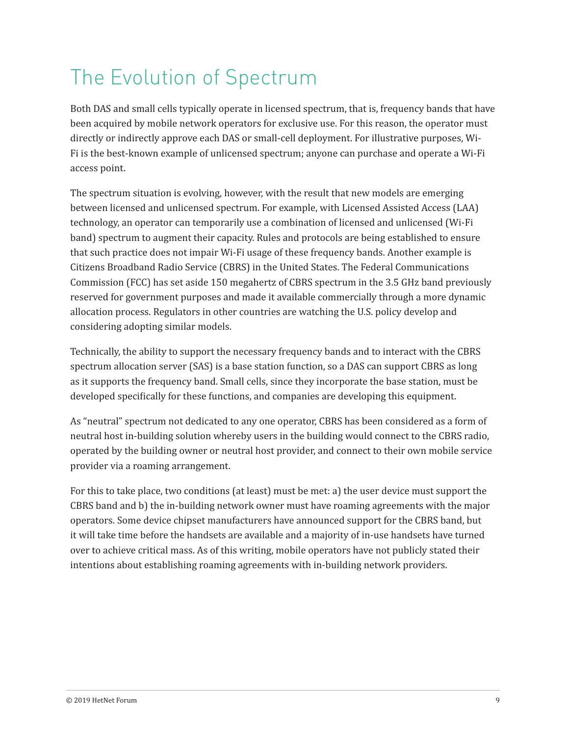# The Evolution of Spectrum

Both DAS and small cells typically operate in licensed spectrum, that is, frequency bands that have been acquired by mobile network operators for exclusive use. For this reason, the operator must directly or indirectly approve each DAS or small-cell deployment. For illustrative purposes, Wi-Fi is the best-known example of unlicensed spectrum; anyone can purchase and operate a Wi-Fi access point.

The spectrum situation is evolving, however, with the result that new models are emerging between licensed and unlicensed spectrum. For example, with Licensed Assisted Access (LAA) technology, an operator can temporarily use a combination of licensed and unlicensed (Wi-Fi band) spectrum to augment their capacity. Rules and protocols are being established to ensure that such practice does not impair Wi-Fi usage of these frequency bands. Another example is Citizens Broadband Radio Service (CBRS) in the United States. The Federal Communications Commission (FCC) has set aside 150 megahertz of CBRS spectrum in the 3.5 GHz band previously reserved for government purposes and made it available commercially through a more dynamic allocation process. Regulators in other countries are watching the U.S. policy develop and considering adopting similar models.

Technically, the ability to support the necessary frequency bands and to interact with the CBRS spectrum allocation server (SAS) is a base station function, so a DAS can support CBRS as long as it supports the frequency band. Small cells, since they incorporate the base station, must be developed specifically for these functions, and companies are developing this equipment.

As "neutral" spectrum not dedicated to any one operator, CBRS has been considered as a form of neutral host in-building solution whereby users in the building would connect to the CBRS radio, operated by the building owner or neutral host provider, and connect to their own mobile service provider via a roaming arrangement.

For this to take place, two conditions (at least) must be met: a) the user device must support the CBRS band and b) the in-building network owner must have roaming agreements with the major operators. Some device chipset manufacturers have announced support for the CBRS band, but it will take time before the handsets are available and a majority of in-use handsets have turned over to achieve critical mass. As of this writing, mobile operators have not publicly stated their intentions about establishing roaming agreements with in-building network providers.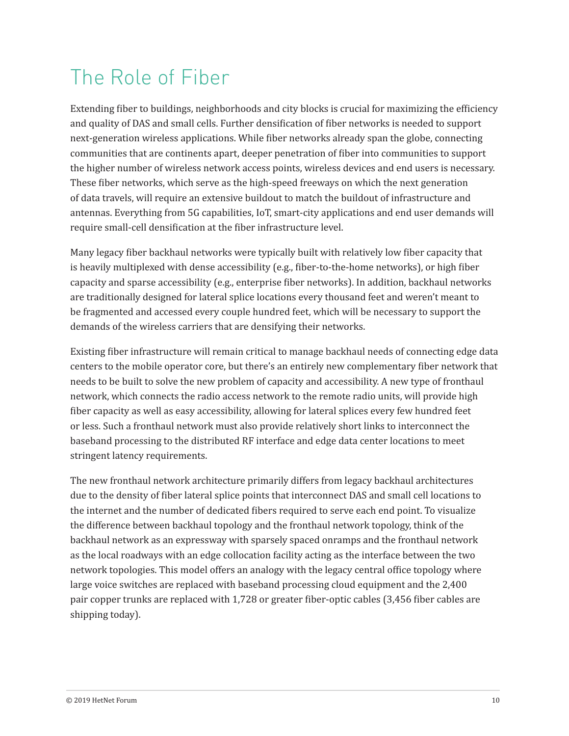## The Role of Fiber

Extending fiber to buildings, neighborhoods and city blocks is crucial for maximizing the efficiency and quality of DAS and small cells. Further densification of fiber networks is needed to support next-generation wireless applications. While fiber networks already span the globe, connecting communities that are continents apart, deeper penetration of fiber into communities to support the higher number of wireless network access points, wireless devices and end users is necessary. These fiber networks, which serve as the high-speed freeways on which the next generation of data travels, will require an extensive buildout to match the buildout of infrastructure and antennas. Everything from 5G capabilities, IoT, smart-city applications and end user demands will require small-cell densification at the fiber infrastructure level.

Many legacy fiber backhaul networks were typically built with relatively low fiber capacity that is heavily multiplexed with dense accessibility (e.g., fiber-to-the-home networks), or high fiber capacity and sparse accessibility (e.g., enterprise fiber networks). In addition, backhaul networks are traditionally designed for lateral splice locations every thousand feet and weren't meant to be fragmented and accessed every couple hundred feet, which will be necessary to support the demands of the wireless carriers that are densifying their networks.

Existing fiber infrastructure will remain critical to manage backhaul needs of connecting edge data centers to the mobile operator core, but there's an entirely new complementary fiber network that needs to be built to solve the new problem of capacity and accessibility. A new type of fronthaul network, which connects the radio access network to the remote radio units, will provide high fiber capacity as well as easy accessibility, allowing for lateral splices every few hundred feet or less. Such a fronthaul network must also provide relatively short links to interconnect the baseband processing to the distributed RF interface and edge data center locations to meet stringent latency requirements.

The new fronthaul network architecture primarily differs from legacy backhaul architectures due to the density of fiber lateral splice points that interconnect DAS and small cell locations to the internet and the number of dedicated fibers required to serve each end point. To visualize the difference between backhaul topology and the fronthaul network topology, think of the backhaul network as an expressway with sparsely spaced onramps and the fronthaul network as the local roadways with an edge collocation facility acting as the interface between the two network topologies. This model offers an analogy with the legacy central office topology where large voice switches are replaced with baseband processing cloud equipment and the 2,400 pair copper trunks are replaced with 1,728 or greater fiber-optic cables (3,456 fiber cables are shipping today).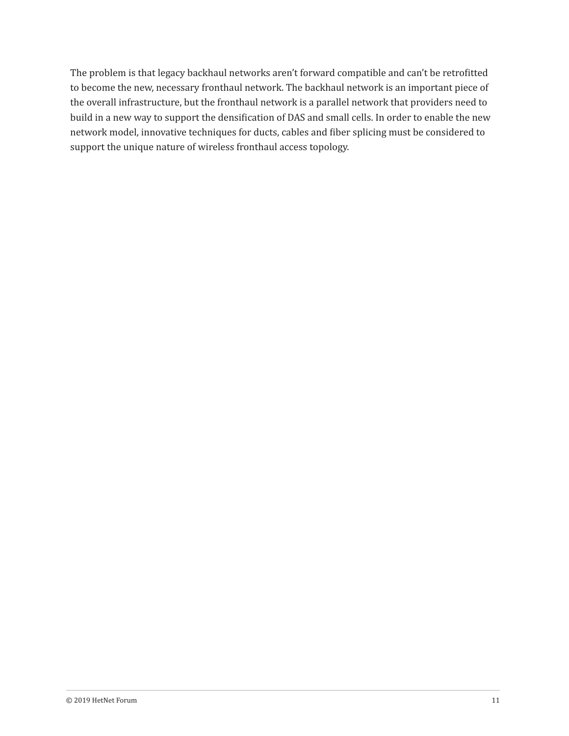The problem is that legacy backhaul networks aren't forward compatible and can't be retrofitted to become the new, necessary fronthaul network. The backhaul network is an important piece of the overall infrastructure, but the fronthaul network is a parallel network that providers need to build in a new way to support the densification of DAS and small cells. In order to enable the new network model, innovative techniques for ducts, cables and fiber splicing must be considered to support the unique nature of wireless fronthaul access topology.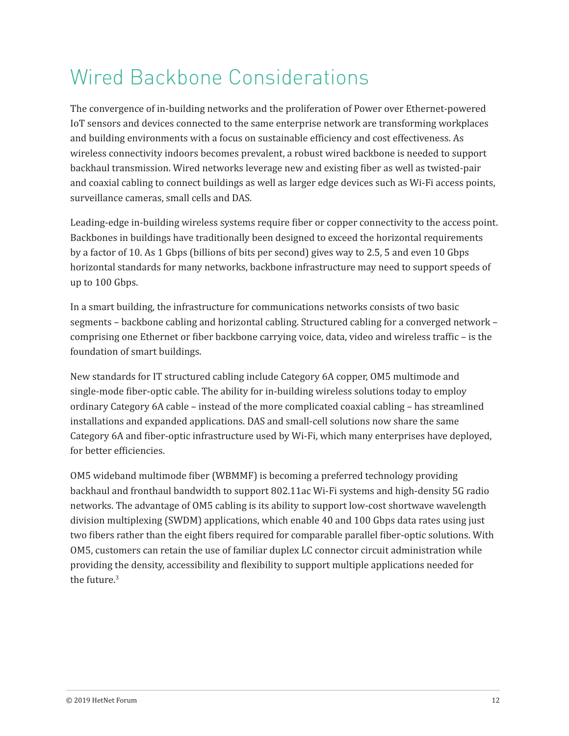## Wired Backbone Considerations

The convergence of in-building networks and the proliferation of Power over Ethernet-powered IoT sensors and devices connected to the same enterprise network are transforming workplaces and building environments with a focus on sustainable efficiency and cost effectiveness. As wireless connectivity indoors becomes prevalent, a robust wired backbone is needed to support backhaul transmission. Wired networks leverage new and existing fiber as well as twisted-pair and coaxial cabling to connect buildings as well as larger edge devices such as Wi-Fi access points, surveillance cameras, small cells and DAS.

Leading-edge in-building wireless systems require fiber or copper connectivity to the access point. Backbones in buildings have traditionally been designed to exceed the horizontal requirements by a factor of 10. As 1 Gbps (billions of bits per second) gives way to 2.5, 5 and even 10 Gbps horizontal standards for many networks, backbone infrastructure may need to support speeds of up to 100 Gbps.

In a smart building, the infrastructure for communications networks consists of two basic segments – backbone cabling and horizontal cabling. Structured cabling for a converged network – comprising one Ethernet or fiber backbone carrying voice, data, video and wireless traffic – is the foundation of smart buildings.

New standards for IT structured cabling include Category 6A copper, OM5 multimode and single-mode fiber-optic cable. The ability for in-building wireless solutions today to employ ordinary Category 6A cable – instead of the more complicated coaxial cabling – has streamlined installations and expanded applications. DAS and small-cell solutions now share the same Category 6A and fiber-optic infrastructure used by Wi-Fi, which many enterprises have deployed, for better efficiencies.

OM5 wideband multimode fiber (WBMMF) is becoming a preferred technology providing backhaul and fronthaul bandwidth to support 802.11ac Wi-Fi systems and high-density 5G radio networks. The advantage of OM5 cabling is its ability to support low-cost shortwave wavelength division multiplexing (SWDM) applications, which enable 40 and 100 Gbps data rates using just two fibers rather than the eight fibers required for comparable parallel fiber-optic solutions. With OM5, customers can retain the use of familiar duplex LC connector circuit administration while providing the density, accessibility and flexibility to support multiple applications needed for the future.3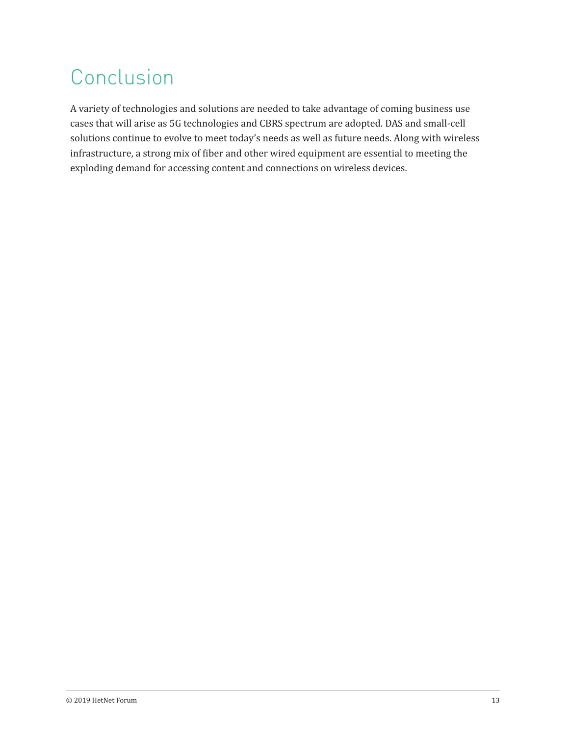#### Conclusion

A variety of technologies and solutions are needed to take advantage of coming business use cases that will arise as 5G technologies and CBRS spectrum are adopted. DAS and small-cell solutions continue to evolve to meet today's needs as well as future needs. Along with wireless infrastructure, a strong mix of fiber and other wired equipment are essential to meeting the exploding demand for accessing content and connections on wireless devices.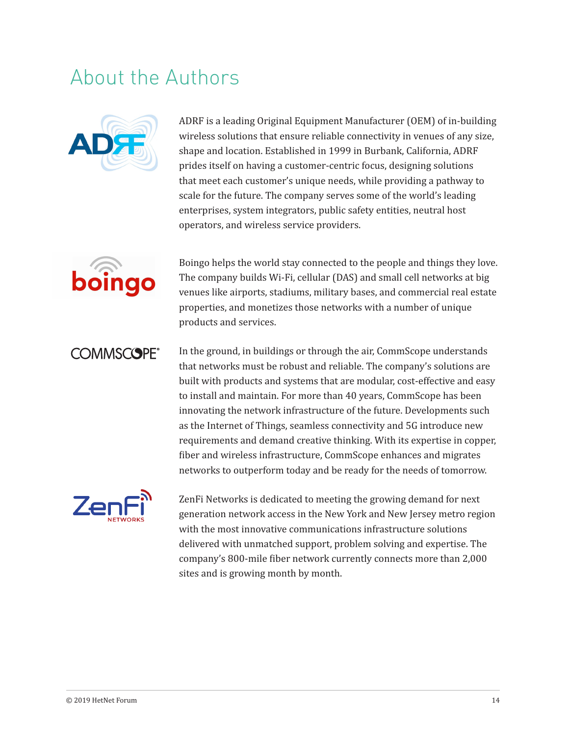#### About the Authors



ADRF is a leading Original Equipment Manufacturer (OEM) of in-building wireless solutions that ensure reliable connectivity in venues of any size, shape and location. Established in 1999 in Burbank, California, ADRF prides itself on having a customer-centric focus, designing solutions that meet each customer's unique needs, while providing a pathway to scale for the future. The company serves some of the world's leading enterprises, system integrators, public safety entities, neutral host operators, and wireless service providers.



Boingo helps the world stay connected to the people and things they love. The company builds Wi-Fi, cellular (DAS) and small cell networks at big venues like airports, stadiums, military bases, and commercial real estate properties, and monetizes those networks with a number of unique products and services.

#### **COMMSCOPE®**

In the ground, in buildings or through the air, CommScope understands that networks must be robust and reliable. The company's solutions are built with products and systems that are modular, cost-effective and easy to install and maintain. For more than 40 years, CommScope has been innovating the network infrastructure of the future. Developments such as the Internet of Things, seamless connectivity and 5G introduce new requirements and demand creative thinking. With its expertise in copper, fiber and wireless infrastructure, CommScope enhances and migrates networks to outperform today and be ready for the needs of tomorrow.



ZenFi Networks is dedicated to meeting the growing demand for next generation network access in the New York and New Jersey metro region with the most innovative communications infrastructure solutions delivered with unmatched support, problem solving and expertise. The company's 800-mile fiber network currently connects more than 2,000 sites and is growing month by month.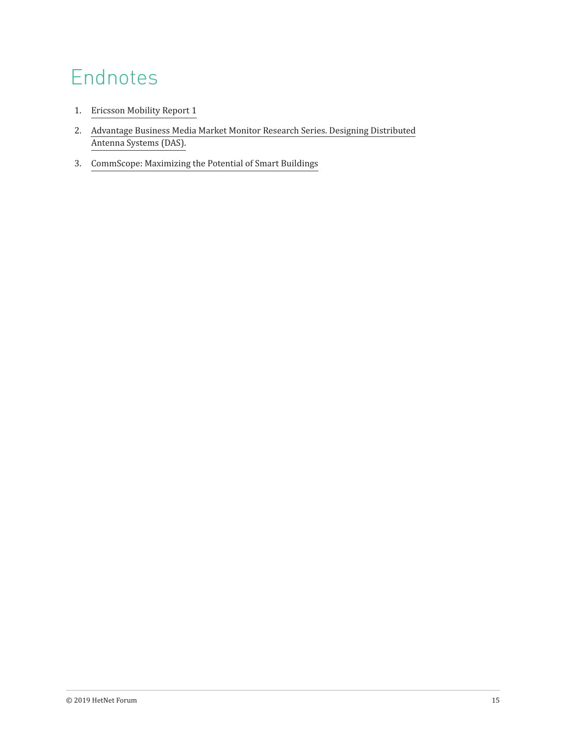## Endnotes

- 1. [Ericsson Mobility Report 1](https://www.ericsson.com/en/mobility-report/internet-of-things-forecast)
- 2. [Advantage Business Media Market Monitor Research Series. Designing Distributed](http://micro.apitech.com/pdf/whitepapers/DAS-API-WhitePaper.pdf)  [Antenna Systems \(DAS\).](http://micro.apitech.com/pdf/whitepapers/DAS-API-WhitePaper.pdf)
- 3. [CommScope: Maximizing the Potential of Smart Buildings](https://www.commscope.com/Docs/Maximizing-potential-of-smart-buildings_CO-113441-EN.pdf)